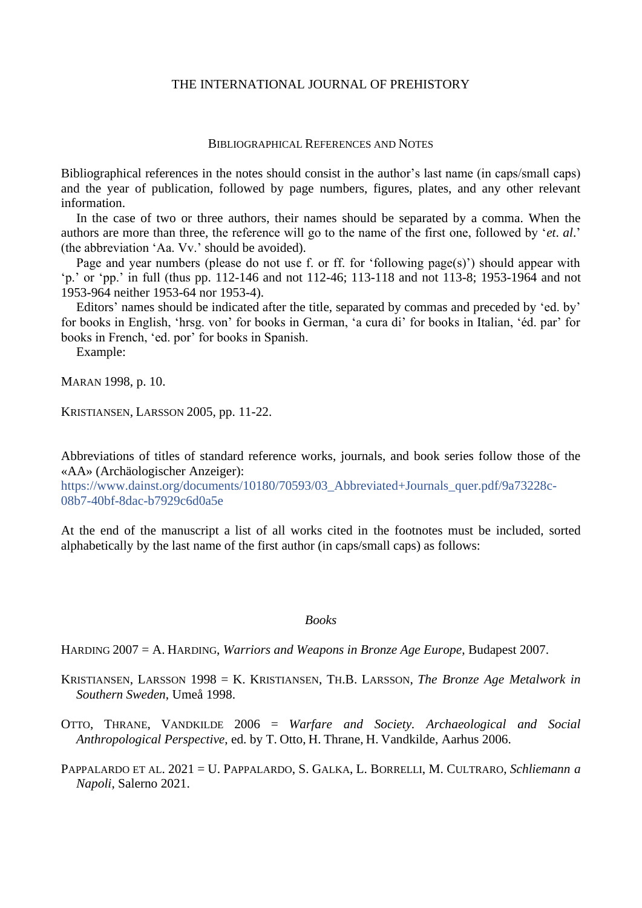# THE INTERNATIONAL JOURNAL OF PREHISTORY

#### BIBLIOGRAPHICAL REFERENCES AND NOTES

Bibliographical references in the notes should consist in the author's last name (in caps/small caps) and the year of publication, followed by page numbers, figures, plates, and any other relevant information.

In the case of two or three authors, their names should be separated by a comma. When the authors are more than three, the reference will go to the name of the first one, followed by '*et*. *al*.' (the abbreviation 'Aa. Vv.' should be avoided).

Page and year numbers (please do not use f. or ff. for 'following page(s)') should appear with 'p.' or 'pp.' in full (thus pp. 112-146 and not 112-46; 113-118 and not 113-8; 1953-1964 and not 1953-964 neither 1953-64 nor 1953-4).

Editors' names should be indicated after the title, separated by commas and preceded by 'ed. by' for books in English, 'hrsg. von' for books in German, 'a cura di' for books in Italian, 'éd. par' for books in French, 'ed. por' for books in Spanish.

Example:

MARAN 1998, p. 10.

KRISTIANSEN, LARSSON 2005, pp. 11-22.

Abbreviations of titles of standard reference works, journals, and book series follow those of the «AA» (Archäologischer Anzeiger):

https://www.dainst.org/documents/10180/70593/03\_Abbreviated+Journals\_quer.pdf/9a73228c-08b7-40bf-8dac-b7929c6d0a5e

At the end of the manuscript a list of all works cited in the footnotes must be included, sorted alphabetically by the last name of the first author (in caps/small caps) as follows:

#### *Books*

HARDING 2007 = A. HARDING, *Warriors and Weapons in Bronze Age Europe*, Budapest 2007.

- KRISTIANSEN, LARSSON 1998 = K. KRISTIANSEN, TH.B. LARSSON, *The Bronze Age Metalwork in Southern Sweden*, Umeå 1998.
- OTTO, THRANE, VANDKILDE 2006 = *Warfare and Society. Archaeological and Social Anthropological Perspective*, ed. by T. Otto, H. Thrane, H. Vandkilde, Aarhus 2006.
- PAPPALARDO ET AL. 2021 = U. PAPPALARDO, S. GALKA, L. BORRELLI, M. CULTRARO, *Schliemann a Napoli*, Salerno 2021.